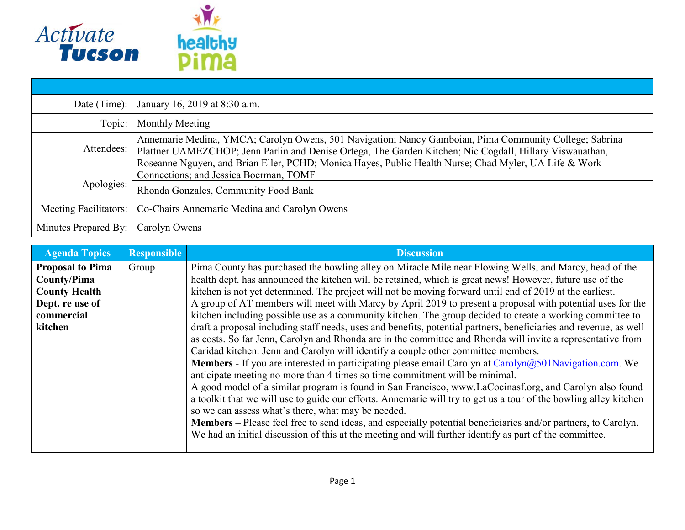

| Date (Time):          | January 16, 2019 at 8:30 a.m.                                                                                                                                                                                                                                                                                               |
|-----------------------|-----------------------------------------------------------------------------------------------------------------------------------------------------------------------------------------------------------------------------------------------------------------------------------------------------------------------------|
| Topic:                | Monthly Meeting                                                                                                                                                                                                                                                                                                             |
| Attendees:            | Annemarie Medina, YMCA; Carolyn Owens, 501 Navigation; Nancy Gamboian, Pima Community College; Sabrina<br>Plattner UAMEZCHOP; Jenn Parlin and Denise Ortega, The Garden Kitchen; Nic Cogdall, Hillary Viswauathan,<br>Roseanne Nguyen, and Brian Eller, PCHD; Monica Hayes, Public Health Nurse; Chad Myler, UA Life & Work |
|                       | Connections; and Jessica Boerman, TOMF                                                                                                                                                                                                                                                                                      |
| Apologies:            | Rhonda Gonzales, Community Food Bank                                                                                                                                                                                                                                                                                        |
| Meeting Facilitators: | Co-Chairs Annemarie Medina and Carolyn Owens                                                                                                                                                                                                                                                                                |
| Minutes Prepared By:  | Carolyn Owens                                                                                                                                                                                                                                                                                                               |

| <b>Agenda Topics</b>    | <b>Responsible</b> | <b>Discussion</b>                                                                                                 |
|-------------------------|--------------------|-------------------------------------------------------------------------------------------------------------------|
| <b>Proposal to Pima</b> | Group              | Pima County has purchased the bowling alley on Miracle Mile near Flowing Wells, and Marcy, head of the            |
| County/Pima             |                    | health dept. has announced the kitchen will be retained, which is great news! However, future use of the          |
| <b>County Health</b>    |                    | kitchen is not yet determined. The project will not be moving forward until end of 2019 at the earliest.          |
| Dept. re use of         |                    | A group of AT members will meet with Marcy by April 2019 to present a proposal with potential uses for the        |
| commercial              |                    | kitchen including possible use as a community kitchen. The group decided to create a working committee to         |
| kitchen                 |                    | draft a proposal including staff needs, uses and benefits, potential partners, beneficiaries and revenue, as well |
|                         |                    | as costs. So far Jenn, Carolyn and Rhonda are in the committee and Rhonda will invite a representative from       |
|                         |                    | Caridad kitchen. Jenn and Carolyn will identify a couple other committee members.                                 |
|                         |                    | <b>Members</b> - If you are interested in participating please email Carolyn at $Carolyn@501Navigation.com$ . We  |
|                         |                    | anticipate meeting no more than 4 times so time commitment will be minimal.                                       |
|                         |                    | A good model of a similar program is found in San Francisco, www.LaCocinasf.org, and Carolyn also found           |
|                         |                    | a toolkit that we will use to guide our efforts. Annemarie will try to get us a tour of the bowling alley kitchen |
|                         |                    | so we can assess what's there, what may be needed.                                                                |
|                         |                    | Members - Please feel free to send ideas, and especially potential beneficiaries and/or partners, to Carolyn.     |
|                         |                    | We had an initial discussion of this at the meeting and will further identify as part of the committee.           |
|                         |                    |                                                                                                                   |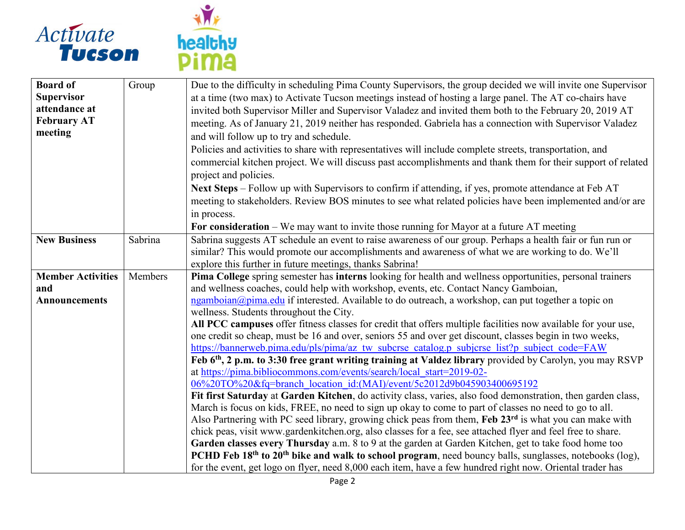



| <b>Board of</b><br><b>Supervisor</b><br>attendance at<br><b>February AT</b><br>meeting | Group   | Due to the difficulty in scheduling Pima County Supervisors, the group decided we will invite one Supervisor<br>at a time (two max) to Activate Tucson meetings instead of hosting a large panel. The AT co-chairs have<br>invited both Supervisor Miller and Supervisor Valadez and invited them both to the February 20, 2019 AT<br>meeting. As of January 21, 2019 neither has responded. Gabriela has a connection with Supervisor Valadez<br>and will follow up to try and schedule.<br>Policies and activities to share with representatives will include complete streets, transportation, and                                                                                                                                                                                                                                                                                                                                                                                                                                                                                                                                                                                                                                                                                                                                                                                                                                                                                                                                                                                                                                                                                                                                                                          |
|----------------------------------------------------------------------------------------|---------|--------------------------------------------------------------------------------------------------------------------------------------------------------------------------------------------------------------------------------------------------------------------------------------------------------------------------------------------------------------------------------------------------------------------------------------------------------------------------------------------------------------------------------------------------------------------------------------------------------------------------------------------------------------------------------------------------------------------------------------------------------------------------------------------------------------------------------------------------------------------------------------------------------------------------------------------------------------------------------------------------------------------------------------------------------------------------------------------------------------------------------------------------------------------------------------------------------------------------------------------------------------------------------------------------------------------------------------------------------------------------------------------------------------------------------------------------------------------------------------------------------------------------------------------------------------------------------------------------------------------------------------------------------------------------------------------------------------------------------------------------------------------------------|
|                                                                                        |         | commercial kitchen project. We will discuss past accomplishments and thank them for their support of related<br>project and policies.<br>Next Steps – Follow up with Supervisors to confirm if attending, if yes, promote attendance at Feb AT<br>meeting to stakeholders. Review BOS minutes to see what related policies have been implemented and/or are<br>in process.<br>For consideration $-$ We may want to invite those running for Mayor at a future AT meeting                                                                                                                                                                                                                                                                                                                                                                                                                                                                                                                                                                                                                                                                                                                                                                                                                                                                                                                                                                                                                                                                                                                                                                                                                                                                                                       |
| <b>New Business</b>                                                                    | Sabrina | Sabrina suggests AT schedule an event to raise awareness of our group. Perhaps a health fair or fun run or<br>similar? This would promote our accomplishments and awareness of what we are working to do. We'll<br>explore this further in future meetings, thanks Sabrina!                                                                                                                                                                                                                                                                                                                                                                                                                                                                                                                                                                                                                                                                                                                                                                                                                                                                                                                                                                                                                                                                                                                                                                                                                                                                                                                                                                                                                                                                                                    |
| <b>Member Activities</b><br>and<br><b>Announcements</b>                                | Members | Pima College spring semester has interns looking for health and wellness opportunities, personal trainers<br>and wellness coaches, could help with workshop, events, etc. Contact Nancy Gamboian,<br>ngamboian@pima.edu if interested. Available to do outreach, a workshop, can put together a topic on<br>wellness. Students throughout the City.<br>All PCC campuses offer fitness classes for credit that offers multiple facilities now available for your use,<br>one credit so cheap, must be 16 and over, seniors 55 and over get discount, classes begin in two weeks,<br>https://bannerweb.pima.edu/pls/pima/az tw subcrse catalog.p subjcrse list?p subject code=FAW<br>Feb 6 <sup>th</sup> , 2 p.m. to 3:30 free grant writing training at Valdez library provided by Carolyn, you may RSVP<br>at https://pima.bibliocommons.com/events/search/local start=2019-02-<br>06%20TO%20&fq=branch_location_id:(MAI)/event/5c2012d9b045903400695192<br>Fit first Saturday at Garden Kitchen, do activity class, varies, also food demonstration, then garden class,<br>March is focus on kids, FREE, no need to sign up okay to come to part of classes no need to go to all.<br>Also Partnering with PC seed library, growing chick peas from them, Feb 23 <sup>rd</sup> is what you can make with<br>chick peas, visit www.gardenkitchen.org, also classes for a fee, see attached flyer and feel free to share.<br>Garden classes every Thursday a.m. 8 to 9 at the garden at Garden Kitchen, get to take food home too<br>PCHD Feb 18 <sup>th</sup> to 20 <sup>th</sup> bike and walk to school program, need bouncy balls, sunglasses, notebooks (log),<br>for the event, get logo on flyer, need 8,000 each item, have a few hundred right now. Oriental trader has |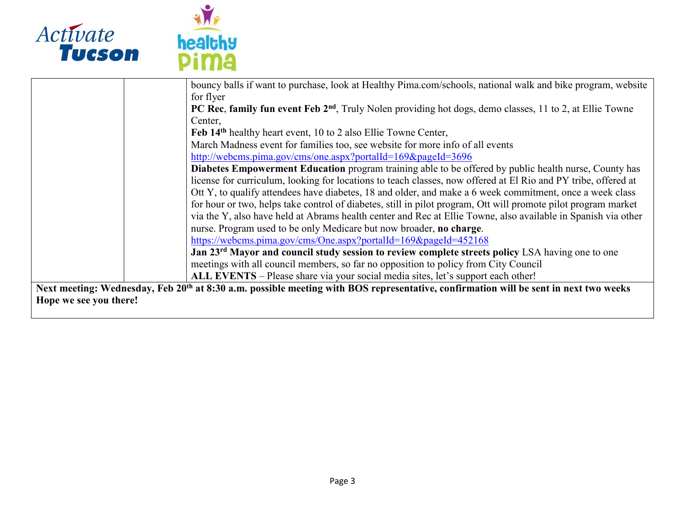



|                        | bouncy balls if want to purchase, look at Healthy Pima.com/schools, national walk and bike program, website                                      |
|------------------------|--------------------------------------------------------------------------------------------------------------------------------------------------|
|                        | for flyer                                                                                                                                        |
|                        | PC Rec, family fun event Feb 2 <sup>nd</sup> , Truly Nolen providing hot dogs, demo classes, 11 to 2, at Ellie Towne                             |
|                        | Center,                                                                                                                                          |
|                        | Feb 14 <sup>th</sup> healthy heart event, 10 to 2 also Ellie Towne Center,                                                                       |
|                        | March Madness event for families too, see website for more info of all events                                                                    |
|                        | http://webcms.pima.gov/cms/one.aspx?portalId=169&pageId=3696                                                                                     |
|                        | Diabetes Empowerment Education program training able to be offered by public health nurse, County has                                            |
|                        | license for curriculum, looking for locations to teach classes, now offered at El Rio and PY tribe, offered at                                   |
|                        | Ott Y, to qualify attendees have diabetes, 18 and older, and make a 6 week commitment, once a week class                                         |
|                        | for hour or two, helps take control of diabetes, still in pilot program, Ott will promote pilot program market                                   |
|                        | via the Y, also have held at Abrams health center and Rec at Ellie Towne, also available in Spanish via other                                    |
|                        | nurse. Program used to be only Medicare but now broader, no charge.                                                                              |
|                        | https://webcms.pima.gov/cms/One.aspx?portalId=169&pageId=452168                                                                                  |
|                        | Jan 23 <sup>rd</sup> Mayor and council study session to review complete streets policy LSA having one to one                                     |
|                        | meetings with all council members, so far no opposition to policy from City Council                                                              |
|                        | ALL EVENTS – Please share via your social media sites, let's support each other!                                                                 |
|                        | Next meeting: Wednesday, Feb 20 <sup>th</sup> at 8:30 a.m. possible meeting with BOS representative, confirmation will be sent in next two weeks |
| Hope we see you there! |                                                                                                                                                  |
|                        |                                                                                                                                                  |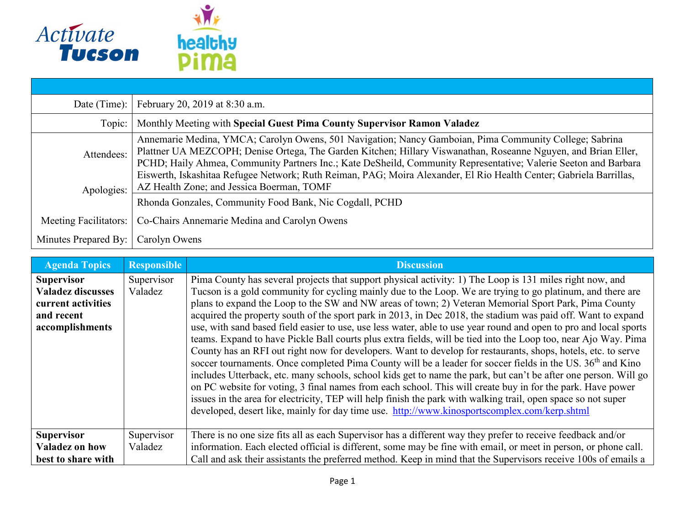

| Date (Time): $ $         | February 20, 2019 at 8:30 a.m.                                                                                                                                                                                                                                                                                                                                                                                                                                                                                 |  |  |
|--------------------------|----------------------------------------------------------------------------------------------------------------------------------------------------------------------------------------------------------------------------------------------------------------------------------------------------------------------------------------------------------------------------------------------------------------------------------------------------------------------------------------------------------------|--|--|
| Topic:                   | Monthly Meeting with Special Guest Pima County Supervisor Ramon Valadez                                                                                                                                                                                                                                                                                                                                                                                                                                        |  |  |
| Attendees:<br>Apologies: | Annemarie Medina, YMCA; Carolyn Owens, 501 Navigation; Nancy Gamboian, Pima Community College; Sabrina<br>Plattner UA MEZCOPH; Denise Ortega, The Garden Kitchen; Hillary Viswanathan, Roseanne Nguyen, and Brian Eller,<br>PCHD; Haily Ahmea, Community Partners Inc.; Kate DeSheild, Community Representative; Valerie Seeton and Barbara<br>Eiswerth, Iskashitaa Refugee Network; Ruth Reiman, PAG; Moira Alexander, El Rio Health Center; Gabriela Barrillas,<br>AZ Health Zone; and Jessica Boerman, TOMF |  |  |
|                          | Rhonda Gonzales, Community Food Bank, Nic Cogdall, PCHD                                                                                                                                                                                                                                                                                                                                                                                                                                                        |  |  |
| Meeting Facilitators:    | Co-Chairs Annemarie Medina and Carolyn Owens                                                                                                                                                                                                                                                                                                                                                                                                                                                                   |  |  |
| Minutes Prepared By:     | Carolyn Owens                                                                                                                                                                                                                                                                                                                                                                                                                                                                                                  |  |  |

| <b>Agenda Topics</b>                                                                                 | <b>Responsible</b>    | <b>Discussion</b>                                                                                                                                                                                                                                                                                                                                                                                                                                                                                                                                                                                                                                                                                                                                                                                                                                                                                                                                                                                                                                                                                                                                                                                                                                                                                                                                                                  |
|------------------------------------------------------------------------------------------------------|-----------------------|------------------------------------------------------------------------------------------------------------------------------------------------------------------------------------------------------------------------------------------------------------------------------------------------------------------------------------------------------------------------------------------------------------------------------------------------------------------------------------------------------------------------------------------------------------------------------------------------------------------------------------------------------------------------------------------------------------------------------------------------------------------------------------------------------------------------------------------------------------------------------------------------------------------------------------------------------------------------------------------------------------------------------------------------------------------------------------------------------------------------------------------------------------------------------------------------------------------------------------------------------------------------------------------------------------------------------------------------------------------------------------|
| <b>Supervisor</b><br><b>Valadez discusses</b><br>current activities<br>and recent<br>accomplishments | Supervisor<br>Valadez | Pima County has several projects that support physical activity: 1) The Loop is 131 miles right now, and<br>Tucson is a gold community for cycling mainly due to the Loop. We are trying to go platinum, and there are<br>plans to expand the Loop to the SW and NW areas of town; 2) Veteran Memorial Sport Park, Pima County<br>acquired the property south of the sport park in 2013, in Dec 2018, the stadium was paid off. Want to expand<br>use, with sand based field easier to use, use less water, able to use year round and open to pro and local sports<br>teams. Expand to have Pickle Ball courts plus extra fields, will be tied into the Loop too, near Ajo Way. Pima<br>County has an RFI out right now for developers. Want to develop for restaurants, shops, hotels, etc. to serve<br>soccer tournaments. Once completed Pima County will be a leader for soccer fields in the US. 36 <sup>th</sup> and Kino<br>includes Utterback, etc. many schools, school kids get to name the park, but can't be after one person. Will go<br>on PC website for voting, 3 final names from each school. This will create buy in for the park. Have power<br>issues in the area for electricity, TEP will help finish the park with walking trail, open space so not super<br>developed, desert like, mainly for day time use. http://www.kinosportscomplex.com/kerp.shtml |
| <b>Supervisor</b>                                                                                    | Supervisor            | There is no one size fits all as each Supervisor has a different way they prefer to receive feedback and/or                                                                                                                                                                                                                                                                                                                                                                                                                                                                                                                                                                                                                                                                                                                                                                                                                                                                                                                                                                                                                                                                                                                                                                                                                                                                        |
| Valadez on how                                                                                       | Valadez               | information. Each elected official is different, some may be fine with email, or meet in person, or phone call.                                                                                                                                                                                                                                                                                                                                                                                                                                                                                                                                                                                                                                                                                                                                                                                                                                                                                                                                                                                                                                                                                                                                                                                                                                                                    |
| best to share with                                                                                   |                       | Call and ask their assistants the preferred method. Keep in mind that the Supervisors receive 100s of emails a                                                                                                                                                                                                                                                                                                                                                                                                                                                                                                                                                                                                                                                                                                                                                                                                                                                                                                                                                                                                                                                                                                                                                                                                                                                                     |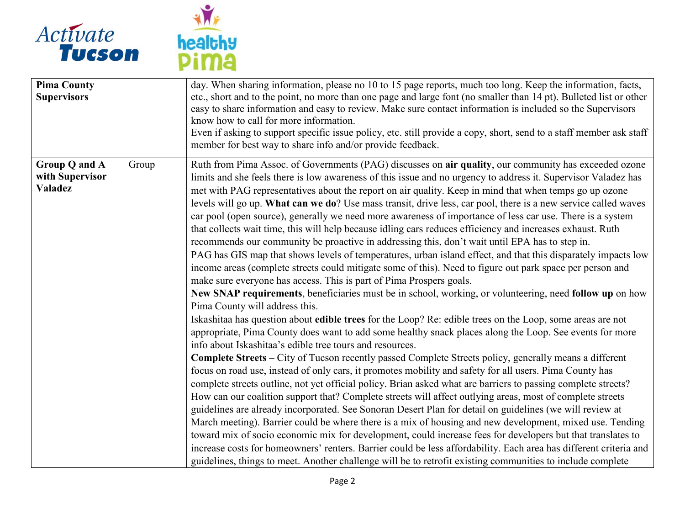



| <b>Pima County</b><br><b>Supervisors</b>           |       | day. When sharing information, please no 10 to 15 page reports, much too long. Keep the information, facts,<br>etc., short and to the point, no more than one page and large font (no smaller than 14 pt). Bulleted list or other<br>easy to share information and easy to review. Make sure contact information is included so the Supervisors<br>know how to call for more information.<br>Even if asking to support specific issue policy, etc. still provide a copy, short, send to a staff member ask staff<br>member for best way to share info and/or provide feedback.                                                                                                                                                                                                                                                                                                                                                                                                                                                                                                                                                                                                                                                                                                                                                                                                                                                                                                                                                                                                                                                                                                                                                                                                                                                                                                                                                                                                                                                                                                                                                                                                                                                                                                                                                                                                                                                                                                                                                                      |
|----------------------------------------------------|-------|-----------------------------------------------------------------------------------------------------------------------------------------------------------------------------------------------------------------------------------------------------------------------------------------------------------------------------------------------------------------------------------------------------------------------------------------------------------------------------------------------------------------------------------------------------------------------------------------------------------------------------------------------------------------------------------------------------------------------------------------------------------------------------------------------------------------------------------------------------------------------------------------------------------------------------------------------------------------------------------------------------------------------------------------------------------------------------------------------------------------------------------------------------------------------------------------------------------------------------------------------------------------------------------------------------------------------------------------------------------------------------------------------------------------------------------------------------------------------------------------------------------------------------------------------------------------------------------------------------------------------------------------------------------------------------------------------------------------------------------------------------------------------------------------------------------------------------------------------------------------------------------------------------------------------------------------------------------------------------------------------------------------------------------------------------------------------------------------------------------------------------------------------------------------------------------------------------------------------------------------------------------------------------------------------------------------------------------------------------------------------------------------------------------------------------------------------------------------------------------------------------------------------------------------------------|
| Group Q and A<br>with Supervisor<br><b>Valadez</b> | Group | Ruth from Pima Assoc. of Governments (PAG) discusses on air quality, our community has exceeded ozone<br>limits and she feels there is low awareness of this issue and no urgency to address it. Supervisor Valadez has<br>met with PAG representatives about the report on air quality. Keep in mind that when temps go up ozone<br>levels will go up. What can we do? Use mass transit, drive less, car pool, there is a new service called waves<br>car pool (open source), generally we need more awareness of importance of less car use. There is a system<br>that collects wait time, this will help because idling cars reduces efficiency and increases exhaust. Ruth<br>recommends our community be proactive in addressing this, don't wait until EPA has to step in.<br>PAG has GIS map that shows levels of temperatures, urban island effect, and that this disparately impacts low<br>income areas (complete streets could mitigate some of this). Need to figure out park space per person and<br>make sure everyone has access. This is part of Pima Prospers goals.<br>New SNAP requirements, beneficiaries must be in school, working, or volunteering, need follow up on how<br>Pima County will address this.<br>Iskashitaa has question about edible trees for the Loop? Re: edible trees on the Loop, some areas are not<br>appropriate, Pima County does want to add some healthy snack places along the Loop. See events for more<br>info about Iskashitaa's edible tree tours and resources.<br>Complete Streets - City of Tucson recently passed Complete Streets policy, generally means a different<br>focus on road use, instead of only cars, it promotes mobility and safety for all users. Pima County has<br>complete streets outline, not yet official policy. Brian asked what are barriers to passing complete streets?<br>How can our coalition support that? Complete streets will affect outlying areas, most of complete streets<br>guidelines are already incorporated. See Sonoran Desert Plan for detail on guidelines (we will review at<br>March meeting). Barrier could be where there is a mix of housing and new development, mixed use. Tending<br>toward mix of socio economic mix for development, could increase fees for developers but that translates to<br>increase costs for homeowners' renters. Barrier could be less affordability. Each area has different criteria and<br>guidelines, things to meet. Another challenge will be to retrofit existing communities to include complete |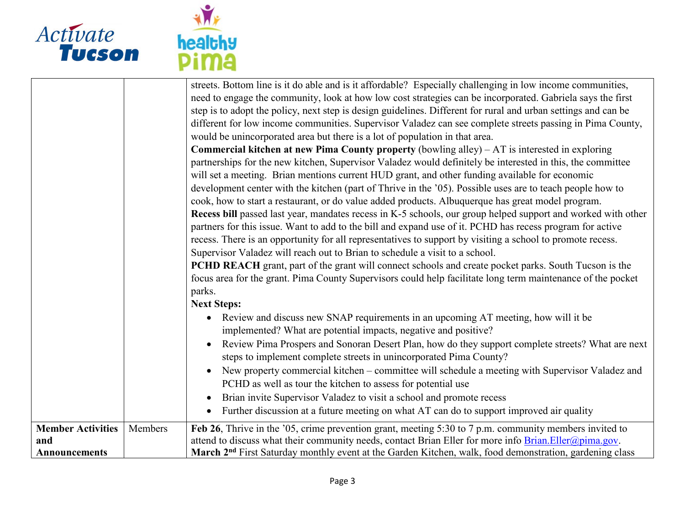

| and<br><b>Announcements</b> |         | March 2 <sup>nd</sup> First Saturday monthly event at the Garden Kitchen, walk, food demonstration, gardening class                                                                                                      |
|-----------------------------|---------|--------------------------------------------------------------------------------------------------------------------------------------------------------------------------------------------------------------------------|
| <b>Member Activities</b>    | Members | Feb 26, Thrive in the '05, crime prevention grant, meeting 5:30 to 7 p.m. community members invited to<br>attend to discuss what their community needs, contact Brian Eller for more info $Brian.Eller@pima.gov$ .       |
|                             |         | Brian invite Supervisor Valadez to visit a school and promote recess<br>$\bullet$<br>Further discussion at a future meeting on what AT can do to support improved air quality<br>$\bullet$                               |
|                             |         | PCHD as well as tour the kitchen to assess for potential use                                                                                                                                                             |
|                             |         | New property commercial kitchen – committee will schedule a meeting with Supervisor Valadez and<br>$\bullet$                                                                                                             |
|                             |         | Review Pima Prospers and Sonoran Desert Plan, how do they support complete streets? What are next<br>$\bullet$<br>steps to implement complete streets in unincorporated Pima County?                                     |
|                             |         | implemented? What are potential impacts, negative and positive?                                                                                                                                                          |
|                             |         | Review and discuss new SNAP requirements in an upcoming AT meeting, how will it be<br>$\bullet$                                                                                                                          |
|                             |         | parks.<br><b>Next Steps:</b>                                                                                                                                                                                             |
|                             |         | focus area for the grant. Pima County Supervisors could help facilitate long term maintenance of the pocket                                                                                                              |
|                             |         | PCHD REACH grant, part of the grant will connect schools and create pocket parks. South Tucson is the                                                                                                                    |
|                             |         | Supervisor Valadez will reach out to Brian to schedule a visit to a school.                                                                                                                                              |
|                             |         | recess. There is an opportunity for all representatives to support by visiting a school to promote recess.                                                                                                               |
|                             |         | partners for this issue. Want to add to the bill and expand use of it. PCHD has recess program for active                                                                                                                |
|                             |         | cook, how to start a restaurant, or do value added products. Albuquerque has great model program.<br><b>Recess bill</b> passed last year, mandates recess in K-5 schools, our group helped support and worked with other |
|                             |         | development center with the kitchen (part of Thrive in the '05). Possible uses are to teach people how to                                                                                                                |
|                             |         | will set a meeting. Brian mentions current HUD grant, and other funding available for economic                                                                                                                           |
|                             |         | partnerships for the new kitchen, Supervisor Valadez would definitely be interested in this, the committee                                                                                                               |
|                             |         | <b>Commercial kitchen at new Pima County property</b> (bowling alley) $- AT$ is interested in exploring                                                                                                                  |
|                             |         | would be unincorporated area but there is a lot of population in that area.                                                                                                                                              |
|                             |         | different for low income communities. Supervisor Valadez can see complete streets passing in Pima County,                                                                                                                |
|                             |         | step is to adopt the policy, next step is design guidelines. Different for rural and urban settings and can be                                                                                                           |
|                             |         | need to engage the community, look at how low cost strategies can be incorporated. Gabriela says the first                                                                                                               |
|                             |         | streets. Bottom line is it do able and is it affordable? Especially challenging in low income communities,                                                                                                               |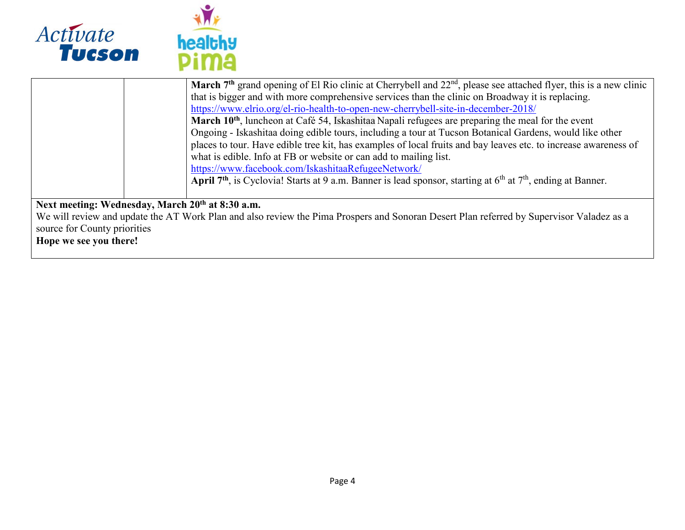

|                              | March 7 <sup>th</sup> grand opening of El Rio clinic at Cherrybell and 22 <sup>nd</sup> , please see attached flyer, this is a new clinic |
|------------------------------|-------------------------------------------------------------------------------------------------------------------------------------------|
|                              |                                                                                                                                           |
|                              | that is bigger and with more comprehensive services than the clinic on Broadway it is replacing.                                          |
|                              | https://www.elrio.org/el-rio-health-to-open-new-cherrybell-site-in-december-2018/                                                         |
|                              | March 10 <sup>th</sup> , luncheon at Café 54, Iskashitaa Napali refugees are preparing the meal for the event                             |
|                              | Ongoing - Iskashitaa doing edible tours, including a tour at Tucson Botanical Gardens, would like other                                   |
|                              | places to tour. Have edible tree kit, has examples of local fruits and bay leaves etc. to increase awareness of                           |
|                              | what is edible. Info at FB or website or can add to mailing list.                                                                         |
|                              | https://www.facebook.com/IskashitaaRefugeeNetwork/                                                                                        |
|                              | April 7 <sup>th</sup> , is Cyclovia! Starts at 9 a.m. Banner is lead sponsor, starting at $6th$ at $7th$ , ending at Banner.              |
|                              |                                                                                                                                           |
|                              | Next meeting: Wednesday, March 20 <sup>th</sup> at 8:30 a.m.                                                                              |
|                              | We will review and update the AT Work Plan and also review the Pima Prospers and Sonoran Desert Plan referred by Supervisor Valadez as a  |
| source for County priorities |                                                                                                                                           |
| Hope we see you there!       |                                                                                                                                           |
|                              |                                                                                                                                           |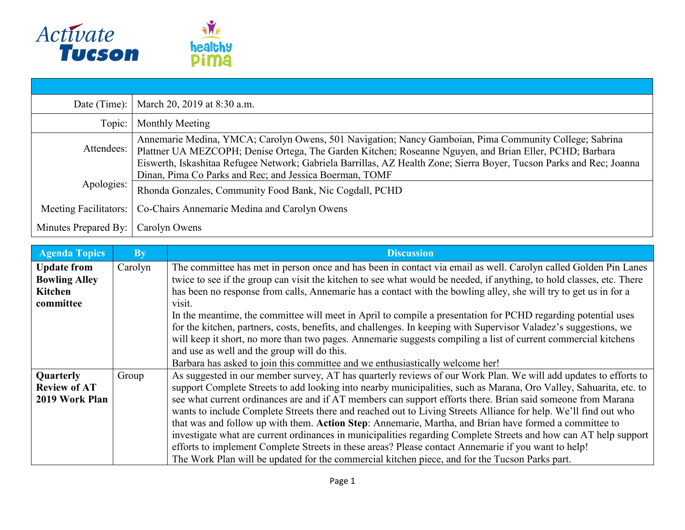

| Date (Time): $ $      | March 20, 2019 at 8:30 a.m.                                                                                                                                                                                                                                                                                                               |
|-----------------------|-------------------------------------------------------------------------------------------------------------------------------------------------------------------------------------------------------------------------------------------------------------------------------------------------------------------------------------------|
| Topic:                | Monthly Meeting                                                                                                                                                                                                                                                                                                                           |
| Attendees:            | Annemarie Medina, YMCA; Carolyn Owens, 501 Navigation; Nancy Gamboian, Pima Community College; Sabrina<br>Plattner UA MEZCOPH; Denise Ortega, The Garden Kitchen; Roseanne Nguyen, and Brian Eller, PCHD; Barbara<br>Eiswerth, Iskashitaa Refugee Network; Gabriela Barrillas, AZ Health Zone; Sierra Boyer, Tucson Parks and Rec; Joanna |
| Apologies:            | Dinan, Pima Co Parks and Rec; and Jessica Boerman, TOMF<br>Rhonda Gonzales, Community Food Bank, Nic Cogdall, PCHD                                                                                                                                                                                                                        |
| Meeting Facilitators: | Co-Chairs Annemarie Medina and Carolyn Owens                                                                                                                                                                                                                                                                                              |
| Minutes Prepared By:  | Carolyn Owens                                                                                                                                                                                                                                                                                                                             |

| <b>Agenda Topics</b> | <b>By</b> | <b>Discussion</b>                                                                                                     |
|----------------------|-----------|-----------------------------------------------------------------------------------------------------------------------|
| <b>Update from</b>   | Carolyn   | The committee has met in person once and has been in contact via email as well. Carolyn called Golden Pin Lanes       |
| <b>Bowling Alley</b> |           | twice to see if the group can visit the kitchen to see what would be needed, if anything, to hold classes, etc. There |
| Kitchen              |           | has been no response from calls, Annemarie has a contact with the bowling alley, she will try to get us in for a      |
| committee            |           | visit.                                                                                                                |
|                      |           | In the meantime, the committee will meet in April to compile a presentation for PCHD regarding potential uses         |
|                      |           | for the kitchen, partners, costs, benefits, and challenges. In keeping with Supervisor Valadez's suggestions, we      |
|                      |           | will keep it short, no more than two pages. Annemarie suggests compiling a list of current commercial kitchens        |
|                      |           | and use as well and the group will do this.                                                                           |
|                      |           | Barbara has asked to join this committee and we enthusiastically welcome her!                                         |
| Quarterly            | Group     | As suggested in our member survey, AT has quarterly reviews of our Work Plan. We will add updates to efforts to       |
| <b>Review of AT</b>  |           | support Complete Streets to add looking into nearby municipalities, such as Marana, Oro Valley, Sahuarita, etc. to    |
| 2019 Work Plan       |           | see what current ordinances are and if AT members can support efforts there. Brian said someone from Marana           |
|                      |           | wants to include Complete Streets there and reached out to Living Streets Alliance for help. We'll find out who       |
|                      |           | that was and follow up with them. Action Step: Annemarie, Martha, and Brian have formed a committee to                |
|                      |           | investigate what are current ordinances in municipalities regarding Complete Streets and how can AT help support      |
|                      |           | efforts to implement Complete Streets in these areas? Please contact Annemarie if you want to help!                   |
|                      |           | The Work Plan will be updated for the commercial kitchen piece, and for the Tucson Parks part.                        |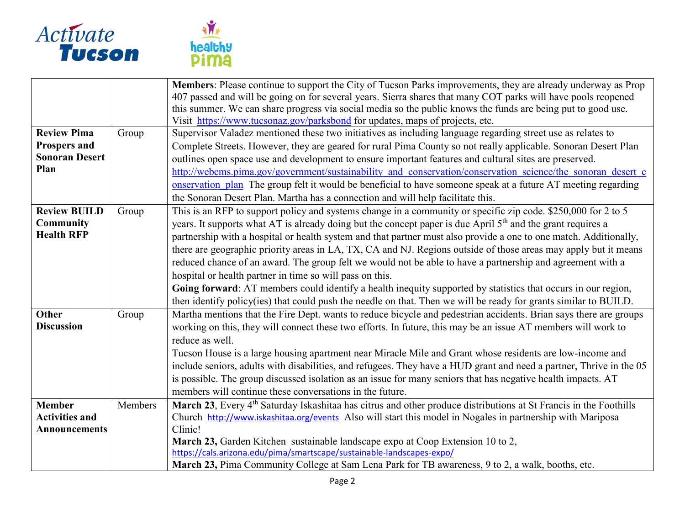



|                       |         | Members: Please continue to support the City of Tucson Parks improvements, they are already underway as Prop                  |
|-----------------------|---------|-------------------------------------------------------------------------------------------------------------------------------|
|                       |         | 407 passed and will be going on for several years. Sierra shares that many COT parks will have pools reopened                 |
|                       |         | this summer. We can share progress via social media so the public knows the funds are being put to good use.                  |
|                       |         | Visit https://www.tucsonaz.gov/parksbond for updates, maps of projects, etc.                                                  |
| <b>Review Pima</b>    | Group   | Supervisor Valadez mentioned these two initiatives as including language regarding street use as relates to                   |
| <b>Prospers and</b>   |         | Complete Streets. However, they are geared for rural Pima County so not really applicable. Sonoran Desert Plan                |
| <b>Sonoran Desert</b> |         | outlines open space use and development to ensure important features and cultural sites are preserved.                        |
| Plan                  |         | http://webcms.pima.gov/government/sustainability and conservation/conservation science/the sonoran desert c                   |
|                       |         | onservation plan The group felt it would be beneficial to have someone speak at a future AT meeting regarding                 |
|                       |         | the Sonoran Desert Plan. Martha has a connection and will help facilitate this.                                               |
| <b>Review BUILD</b>   | Group   | This is an RFP to support policy and systems change in a community or specific zip code. \$250,000 for 2 to 5                 |
| <b>Community</b>      |         | years. It supports what AT is already doing but the concept paper is due April 5 <sup>th</sup> and the grant requires a       |
| <b>Health RFP</b>     |         | partnership with a hospital or health system and that partner must also provide a one to one match. Additionally,             |
|                       |         | there are geographic priority areas in LA, TX, CA and NJ. Regions outside of those areas may apply but it means               |
|                       |         | reduced chance of an award. The group felt we would not be able to have a partnership and agreement with a                    |
|                       |         | hospital or health partner in time so will pass on this.                                                                      |
|                       |         | Going forward: AT members could identify a health inequity supported by statistics that occurs in our region,                 |
|                       |         | then identify policy(ies) that could push the needle on that. Then we will be ready for grants similar to BUILD.              |
| <b>Other</b>          | Group   | Martha mentions that the Fire Dept. wants to reduce bicycle and pedestrian accidents. Brian says there are groups             |
| <b>Discussion</b>     |         | working on this, they will connect these two efforts. In future, this may be an issue AT members will work to                 |
|                       |         | reduce as well.                                                                                                               |
|                       |         | Tucson House is a large housing apartment near Miracle Mile and Grant whose residents are low-income and                      |
|                       |         | include seniors, adults with disabilities, and refugees. They have a HUD grant and need a partner, Thrive in the 05           |
|                       |         | is possible. The group discussed isolation as an issue for many seniors that has negative health impacts. AT                  |
|                       |         | members will continue these conversations in the future.                                                                      |
| <b>Member</b>         | Members | March 23, Every 4 <sup>th</sup> Saturday Iskashitaa has citrus and other produce distributions at St Francis in the Foothills |
| <b>Activities and</b> |         | Church http://www.iskashitaa.org/events Also will start this model in Nogales in partnership with Mariposa                    |
| <b>Announcements</b>  |         | Clinic!                                                                                                                       |
|                       |         | March 23, Garden Kitchen sustainable landscape expo at Coop Extension 10 to 2,                                                |
|                       |         | https://cals.arizona.edu/pima/smartscape/sustainable-landscapes-expo/                                                         |
|                       |         | March 23, Pima Community College at Sam Lena Park for TB awareness, 9 to 2, a walk, booths, etc.                              |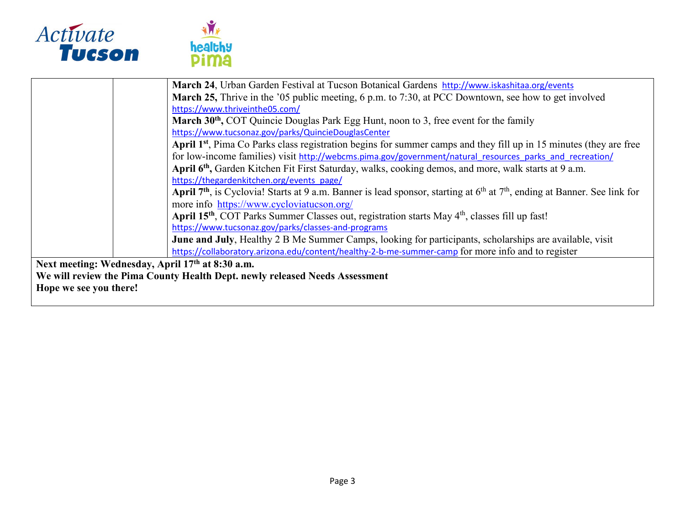



|                                                                             | March 24, Urban Garden Festival at Tucson Botanical Gardens http://www.iskashitaa.org/events                                              |  |
|-----------------------------------------------------------------------------|-------------------------------------------------------------------------------------------------------------------------------------------|--|
|                                                                             | March 25, Thrive in the '05 public meeting, 6 p.m. to 7:30, at PCC Downtown, see how to get involved                                      |  |
|                                                                             | https://www.thriveinthe05.com/                                                                                                            |  |
|                                                                             |                                                                                                                                           |  |
|                                                                             | March 30 <sup>th</sup> , COT Quincie Douglas Park Egg Hunt, noon to 3, free event for the family                                          |  |
|                                                                             | https://www.tucsonaz.gov/parks/QuincieDouglasCenter                                                                                       |  |
|                                                                             | April 1 <sup>st</sup> , Pima Co Parks class registration begins for summer camps and they fill up in 15 minutes (they are free            |  |
|                                                                             | for low-income families) visit http://webcms.pima.gov/government/natural resources parks and recreation/                                  |  |
|                                                                             | April 6 <sup>th</sup> , Garden Kitchen Fit First Saturday, walks, cooking demos, and more, walk starts at 9 a.m.                          |  |
|                                                                             | https://thegardenkitchen.org/events_page/                                                                                                 |  |
|                                                                             | April 7 <sup>th</sup> , is Cyclovia! Starts at 9 a.m. Banner is lead sponsor, starting at $6th$ at $7th$ , ending at Banner. See link for |  |
|                                                                             | more info https://www.cycloviatucson.org/                                                                                                 |  |
|                                                                             | April 15 <sup>th</sup> , COT Parks Summer Classes out, registration starts May 4 <sup>th</sup> , classes fill up fast!                    |  |
|                                                                             | https://www.tucsonaz.gov/parks/classes-and-programs                                                                                       |  |
|                                                                             | June and July, Healthy 2 B Me Summer Camps, looking for participants, scholarships are available, visit                                   |  |
|                                                                             | https://collaboratory.arizona.edu/content/healthy-2-b-me-summer-camp for more info and to register                                        |  |
| Next meeting: Wednesday, April 17th at 8:30 a.m.                            |                                                                                                                                           |  |
| We will review the Pima County Health Dept. newly released Needs Assessment |                                                                                                                                           |  |
| Hope we see you there!                                                      |                                                                                                                                           |  |
|                                                                             |                                                                                                                                           |  |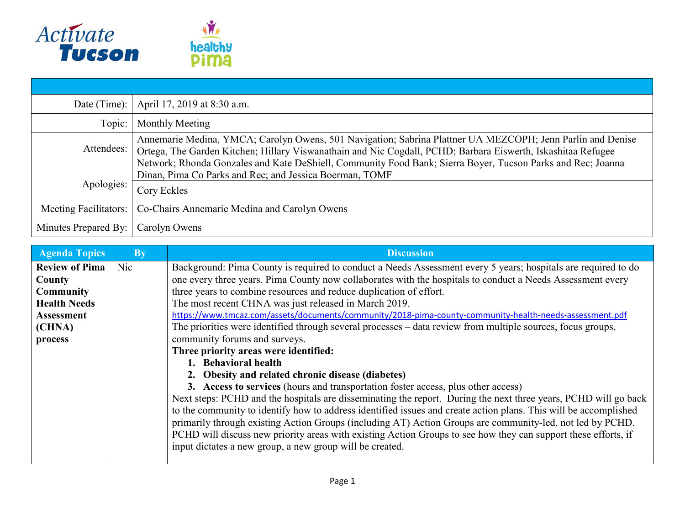

|                                      | Date (Time):   April 17, 2019 at 8:30 a.m.                                                                                                                                                                                                                                                                                                |  |  |
|--------------------------------------|-------------------------------------------------------------------------------------------------------------------------------------------------------------------------------------------------------------------------------------------------------------------------------------------------------------------------------------------|--|--|
| Topic:                               | Monthly Meeting                                                                                                                                                                                                                                                                                                                           |  |  |
| Attendees:                           | Annemarie Medina, YMCA; Carolyn Owens, 501 Navigation; Sabrina Plattner UA MEZCOPH; Jenn Parlin and Denise<br>Ortega, The Garden Kitchen; Hillary Viswanathain and Nic Cogdall, PCHD; Barbara Eiswerth, Iskashitaa Refugee<br>Network; Rhonda Gonzales and Kate DeShiell, Community Food Bank; Sierra Boyer, Tucson Parks and Rec; Joanna |  |  |
| Apologies:                           | Dinan, Pima Co Parks and Rec; and Jessica Boerman, TOMF                                                                                                                                                                                                                                                                                   |  |  |
|                                      | Cory Eckles                                                                                                                                                                                                                                                                                                                               |  |  |
| Meeting Facilitators:                | Co-Chairs Annemarie Medina and Carolyn Owens                                                                                                                                                                                                                                                                                              |  |  |
| Minutes Prepared By:   Carolyn Owens |                                                                                                                                                                                                                                                                                                                                           |  |  |

| <b>Agenda Topics</b>  | <b>B</b> <sub>v</sub> | <b>Discussion</b>                                                                                                |
|-----------------------|-----------------------|------------------------------------------------------------------------------------------------------------------|
| <b>Review of Pima</b> | Nic                   | Background: Pima County is required to conduct a Needs Assessment every 5 years; hospitals are required to do    |
| County                |                       | one every three years. Pima County now collaborates with the hospitals to conduct a Needs Assessment every       |
| <b>Community</b>      |                       | three years to combine resources and reduce duplication of effort.                                               |
| <b>Health Needs</b>   |                       | The most recent CHNA was just released in March 2019.                                                            |
| <b>Assessment</b>     |                       | https://www.tmcaz.com/assets/documents/community/2018-pima-county-community-health-needs-assessment.pdf          |
| (CHNA)                |                       | The priorities were identified through several processes – data review from multiple sources, focus groups,      |
| process               |                       | community forums and surveys.                                                                                    |
|                       |                       | Three priority areas were identified:                                                                            |
|                       |                       | 1. Behavioral health                                                                                             |
|                       |                       | 2. Obesity and related chronic disease (diabetes)                                                                |
|                       |                       | 3. Access to services (hours and transportation foster access, plus other access)                                |
|                       |                       | Next steps: PCHD and the hospitals are disseminating the report. During the next three years, PCHD will go back  |
|                       |                       | to the community to identify how to address identified issues and create action plans. This will be accomplished |
|                       |                       | primarily through existing Action Groups (including AT) Action Groups are community-led, not led by PCHD.        |
|                       |                       | PCHD will discuss new priority areas with existing Action Groups to see how they can support these efforts, if   |
|                       |                       | input dictates a new group, a new group will be created.                                                         |
|                       |                       |                                                                                                                  |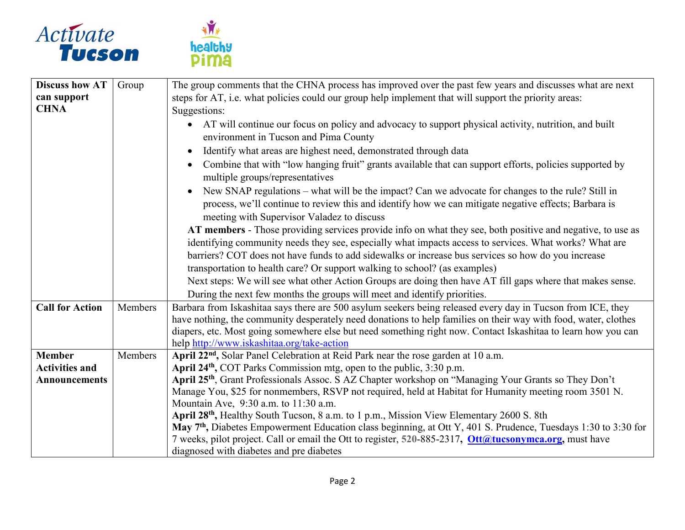



| Group   | The group comments that the CHNA process has improved over the past few years and discusses what are next                                                                                                                                                                                                                                                                                    |
|---------|----------------------------------------------------------------------------------------------------------------------------------------------------------------------------------------------------------------------------------------------------------------------------------------------------------------------------------------------------------------------------------------------|
|         | steps for AT, i.e. what policies could our group help implement that will support the priority areas:                                                                                                                                                                                                                                                                                        |
|         | Suggestions:                                                                                                                                                                                                                                                                                                                                                                                 |
|         | AT will continue our focus on policy and advocacy to support physical activity, nutrition, and built<br>environment in Tucson and Pima County                                                                                                                                                                                                                                                |
|         | Identify what areas are highest need, demonstrated through data                                                                                                                                                                                                                                                                                                                              |
|         | Combine that with "low hanging fruit" grants available that can support efforts, policies supported by<br>multiple groups/representatives                                                                                                                                                                                                                                                    |
|         | New SNAP regulations - what will be the impact? Can we advocate for changes to the rule? Still in<br>process, we'll continue to review this and identify how we can mitigate negative effects; Barbara is<br>meeting with Supervisor Valadez to discuss                                                                                                                                      |
|         | AT members - Those providing services provide info on what they see, both positive and negative, to use as<br>identifying community needs they see, especially what impacts access to services. What works? What are                                                                                                                                                                         |
|         | barriers? COT does not have funds to add sidewalks or increase bus services so how do you increase                                                                                                                                                                                                                                                                                           |
|         | transportation to health care? Or support walking to school? (as examples)                                                                                                                                                                                                                                                                                                                   |
|         | Next steps: We will see what other Action Groups are doing then have AT fill gaps where that makes sense.                                                                                                                                                                                                                                                                                    |
|         | During the next few months the groups will meet and identify priorities.                                                                                                                                                                                                                                                                                                                     |
| Members | Barbara from Iskashitaa says there are 500 asylum seekers being released every day in Tucson from ICE, they<br>have nothing, the community desperately need donations to help families on their way with food, water, clothes<br>diapers, etc. Most going somewhere else but need something right now. Contact Iskashitaa to learn how you can<br>help http://www.iskashitaa.org/take-action |
| Members | April 22 <sup>nd</sup> , Solar Panel Celebration at Reid Park near the rose garden at 10 a.m.                                                                                                                                                                                                                                                                                                |
|         | April 24 <sup>th</sup> , COT Parks Commission mtg, open to the public, 3:30 p.m.                                                                                                                                                                                                                                                                                                             |
|         | April 25 <sup>th</sup> , Grant Professionals Assoc. S AZ Chapter workshop on "Managing Your Grants so They Don't                                                                                                                                                                                                                                                                             |
|         | Manage You, \$25 for nonmembers, RSVP not required, held at Habitat for Humanity meeting room 3501 N.                                                                                                                                                                                                                                                                                        |
|         | Mountain Ave, 9:30 a.m. to 11:30 a.m.                                                                                                                                                                                                                                                                                                                                                        |
|         | April 28 <sup>th</sup> , Healthy South Tucson, 8 a.m. to 1 p.m., Mission View Elementary 2600 S. 8th<br>May $7th$ , Diabetes Empowerment Education class beginning, at Ott Y, 401 S. Prudence, Tuesdays 1:30 to 3:30 for                                                                                                                                                                     |
|         | 7 weeks, pilot project. Call or email the Ott to register, 520-885-2317, Ott@tucsonymca.org, must have                                                                                                                                                                                                                                                                                       |
|         | diagnosed with diabetes and pre diabetes                                                                                                                                                                                                                                                                                                                                                     |
|         |                                                                                                                                                                                                                                                                                                                                                                                              |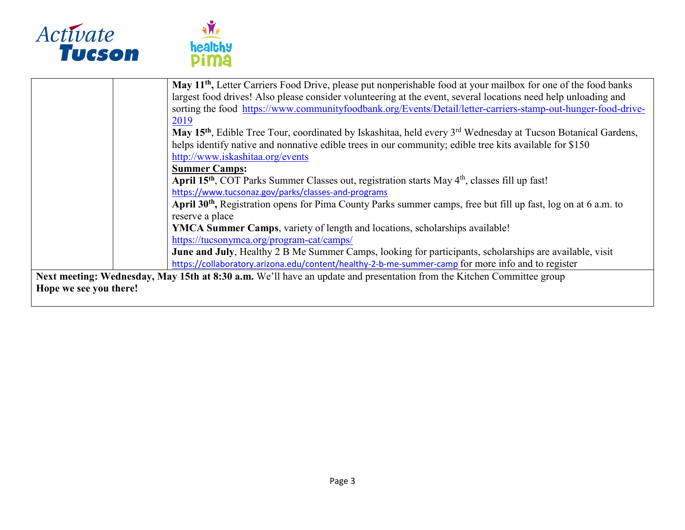



|                        | May 11 <sup>th</sup> , Letter Carriers Food Drive, please put nonperishable food at your mailbox for one of the food banks            |
|------------------------|---------------------------------------------------------------------------------------------------------------------------------------|
|                        | largest food drives! Also please consider volunteering at the event, several locations need help unloading and                        |
|                        | sorting the food https://www.communityfoodbank.org/Events/Detail/letter-carriers-stamp-out-hunger-food-drive-                         |
|                        | 2019                                                                                                                                  |
|                        | May 15 <sup>th</sup> , Edible Tree Tour, coordinated by Iskashitaa, held every 3 <sup>rd</sup> Wednesday at Tucson Botanical Gardens, |
|                        | helps identify native and nonnative edible trees in our community; edible tree kits available for \$150                               |
|                        | http://www.iskashitaa.org/events                                                                                                      |
|                        | <b>Summer Camps:</b>                                                                                                                  |
|                        | April 15 <sup>th</sup> , COT Parks Summer Classes out, registration starts May 4 <sup>th</sup> , classes fill up fast!                |
|                        | https://www.tucsonaz.gov/parks/classes-and-programs                                                                                   |
|                        | April 30 <sup>th</sup> , Registration opens for Pima County Parks summer camps, free but fill up fast, log on at 6 a.m. to            |
|                        | reserve a place                                                                                                                       |
|                        | YMCA Summer Camps, variety of length and locations, scholarships available!                                                           |
|                        | https://tucsonymca.org/program-cat/camps/                                                                                             |
|                        | June and July, Healthy 2 B Me Summer Camps, looking for participants, scholarships are available, visit                               |
|                        | https://collaboratory.arizona.edu/content/healthy-2-b-me-summer-camp for more info and to register                                    |
|                        | Next meeting: Wednesday, May 15th at 8:30 a.m. We'll have an update and presentation from the Kitchen Committee group                 |
| Hope we see you there! |                                                                                                                                       |
|                        |                                                                                                                                       |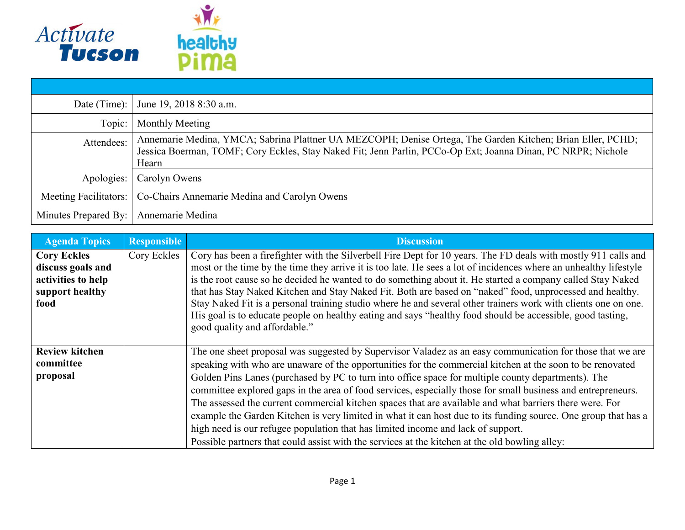

|                       | Date (Time): June 19, 2018 8:30 a.m.                                                                                                                                                                                                |
|-----------------------|-------------------------------------------------------------------------------------------------------------------------------------------------------------------------------------------------------------------------------------|
| Topic:                | Monthly Meeting                                                                                                                                                                                                                     |
| Attendees:            | Annemarie Medina, YMCA; Sabrina Plattner UA MEZCOPH; Denise Ortega, The Garden Kitchen; Brian Eller, PCHD;<br>Jessica Boerman, TOMF; Cory Eckles, Stay Naked Fit; Jenn Parlin, PCCo-Op Ext; Joanna Dinan, PC NRPR; Nichole<br>Hearn |
| Apologies:            | Carolyn Owens                                                                                                                                                                                                                       |
| Meeting Facilitators: | Co-Chairs Annemarie Medina and Carolyn Owens                                                                                                                                                                                        |
| Minutes Prepared By:  | Annemarie Medina                                                                                                                                                                                                                    |

| <b>Agenda Topics</b>                                                                     | <b>Responsible</b> | <b>Discussion</b>                                                                                                                                                                                                                                                                                                                                                                                                                                                                                                                                                                                                                                                                                                                                                                                                                                               |
|------------------------------------------------------------------------------------------|--------------------|-----------------------------------------------------------------------------------------------------------------------------------------------------------------------------------------------------------------------------------------------------------------------------------------------------------------------------------------------------------------------------------------------------------------------------------------------------------------------------------------------------------------------------------------------------------------------------------------------------------------------------------------------------------------------------------------------------------------------------------------------------------------------------------------------------------------------------------------------------------------|
| <b>Cory Eckles</b><br>discuss goals and<br>activities to help<br>support healthy<br>food | Cory Eckles        | Cory has been a firefighter with the Silverbell Fire Dept for 10 years. The FD deals with mostly 911 calls and<br>most or the time by the time they arrive it is too late. He sees a lot of incidences where an unhealthy lifestyle<br>is the root cause so he decided he wanted to do something about it. He started a company called Stay Naked<br>that has Stay Naked Kitchen and Stay Naked Fit. Both are based on "naked" food, unprocessed and healthy.<br>Stay Naked Fit is a personal training studio where he and several other trainers work with clients one on one.<br>His goal is to educate people on healthy eating and says "healthy food should be accessible, good tasting,<br>good quality and affordable."                                                                                                                                  |
| <b>Review kitchen</b><br>committee<br>proposal                                           |                    | The one sheet proposal was suggested by Supervisor Valadez as an easy communication for those that we are<br>speaking with who are unaware of the opportunities for the commercial kitchen at the soon to be renovated<br>Golden Pins Lanes (purchased by PC to turn into office space for multiple county departments). The<br>committee explored gaps in the area of food services, especially those for small business and entrepreneurs.<br>The assessed the current commercial kitchen spaces that are available and what barriers there were. For<br>example the Garden Kitchen is very limited in what it can host due to its funding source. One group that has a<br>high need is our refugee population that has limited income and lack of support.<br>Possible partners that could assist with the services at the kitchen at the old bowling alley: |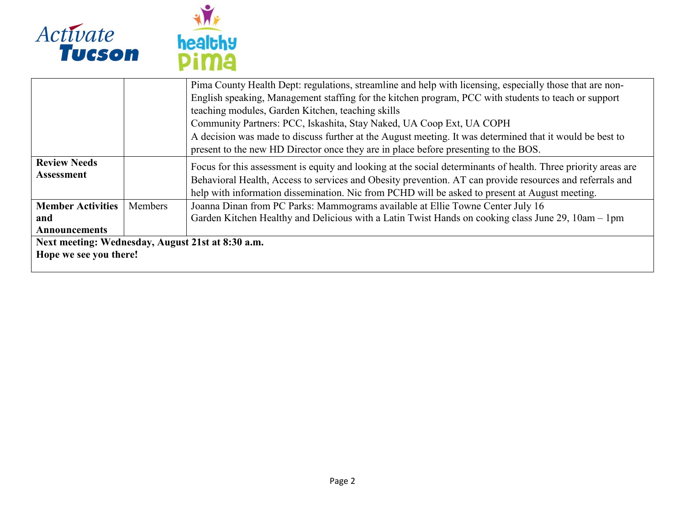

| healthy |  |
|---------|--|
|         |  |

|                                                   |         | Pima County Health Dept: regulations, streamline and help with licensing, especially those that are non-       |
|---------------------------------------------------|---------|----------------------------------------------------------------------------------------------------------------|
|                                                   |         | English speaking, Management staffing for the kitchen program, PCC with students to teach or support           |
|                                                   |         | teaching modules, Garden Kitchen, teaching skills                                                              |
|                                                   |         | Community Partners: PCC, Iskashita, Stay Naked, UA Coop Ext, UA COPH                                           |
|                                                   |         | A decision was made to discuss further at the August meeting. It was determined that it would be best to       |
|                                                   |         | present to the new HD Director once they are in place before presenting to the BOS.                            |
| <b>Review Needs</b>                               |         | Focus for this assessment is equity and looking at the social determinants of health. Three priority areas are |
| Assessment                                        |         | Behavioral Health, Access to services and Obesity prevention. AT can provide resources and referrals and       |
|                                                   |         | help with information dissemination. Nic from PCHD will be asked to present at August meeting.                 |
| <b>Member Activities</b>                          | Members | Joanna Dinan from PC Parks: Mammograms available at Ellie Towne Center July 16                                 |
| and                                               |         | Garden Kitchen Healthy and Delicious with a Latin Twist Hands on cooking class June 29, 10am – 1pm             |
| <b>Announcements</b>                              |         |                                                                                                                |
| Next meeting: Wednesday, August 21st at 8:30 a.m. |         |                                                                                                                |
| Hope we see you there!                            |         |                                                                                                                |
|                                                   |         |                                                                                                                |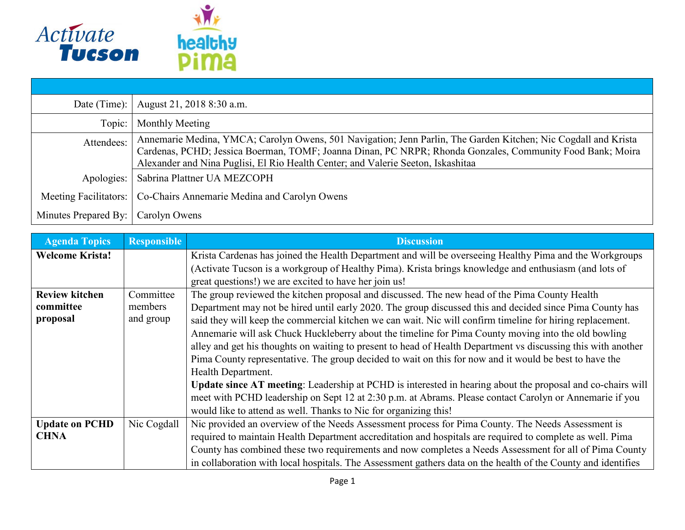

| Date (Time): $\vert$         | August 21, 2018 8:30 a.m.                                                                                                                                                                                                                                                                                       |
|------------------------------|-----------------------------------------------------------------------------------------------------------------------------------------------------------------------------------------------------------------------------------------------------------------------------------------------------------------|
| Topic:                       | Monthly Meeting                                                                                                                                                                                                                                                                                                 |
| Attendees:                   | Annemarie Medina, YMCA; Carolyn Owens, 501 Navigation; Jenn Parlin, The Garden Kitchen; Nic Cogdall and Krista<br>Cardenas, PCHD; Jessica Boerman, TOMF; Joanna Dinan, PC NRPR; Rhonda Gonzales, Community Food Bank; Moira<br>Alexander and Nina Puglisi, El Rio Health Center; and Valerie Seeton, Iskashitaa |
| Apologies:                   | Sabrina Plattner UA MEZCOPH                                                                                                                                                                                                                                                                                     |
| <b>Meeting Facilitators:</b> | Co-Chairs Annemarie Medina and Carolyn Owens                                                                                                                                                                                                                                                                    |
| Minutes Prepared By:         | Carolyn Owens                                                                                                                                                                                                                                                                                                   |

| <b>Agenda Topics</b>   | <b>Responsible</b> | <b>Discussion</b>                                                                                             |
|------------------------|--------------------|---------------------------------------------------------------------------------------------------------------|
| <b>Welcome Krista!</b> |                    | Krista Cardenas has joined the Health Department and will be overseeing Healthy Pima and the Workgroups       |
|                        |                    | (Activate Tucson is a workgroup of Healthy Pima). Krista brings knowledge and enthusiasm (and lots of         |
|                        |                    | great questions!) we are excited to have her join us!                                                         |
| <b>Review kitchen</b>  | Committee          | The group reviewed the kitchen proposal and discussed. The new head of the Pima County Health                 |
| committee              | members            | Department may not be hired until early 2020. The group discussed this and decided since Pima County has      |
| proposal               | and group          | said they will keep the commercial kitchen we can wait. Nic will confirm timeline for hiring replacement.     |
|                        |                    | Annemarie will ask Chuck Huckleberry about the timeline for Pima County moving into the old bowling           |
|                        |                    | alley and get his thoughts on waiting to present to head of Health Department vs discussing this with another |
|                        |                    | Pima County representative. The group decided to wait on this for now and it would be best to have the        |
|                        |                    | Health Department.                                                                                            |
|                        |                    | Update since AT meeting: Leadership at PCHD is interested in hearing about the proposal and co-chairs will    |
|                        |                    | meet with PCHD leadership on Sept 12 at 2:30 p.m. at Abrams. Please contact Carolyn or Annemarie if you       |
|                        |                    | would like to attend as well. Thanks to Nic for organizing this!                                              |
| <b>Update on PCHD</b>  | Nic Cogdall        | Nic provided an overview of the Needs Assessment process for Pima County. The Needs Assessment is             |
| <b>CHNA</b>            |                    | required to maintain Health Department accreditation and hospitals are required to complete as well. Pima     |
|                        |                    | County has combined these two requirements and now completes a Needs Assessment for all of Pima County        |
|                        |                    | in collaboration with local hospitals. The Assessment gathers data on the health of the County and identifies |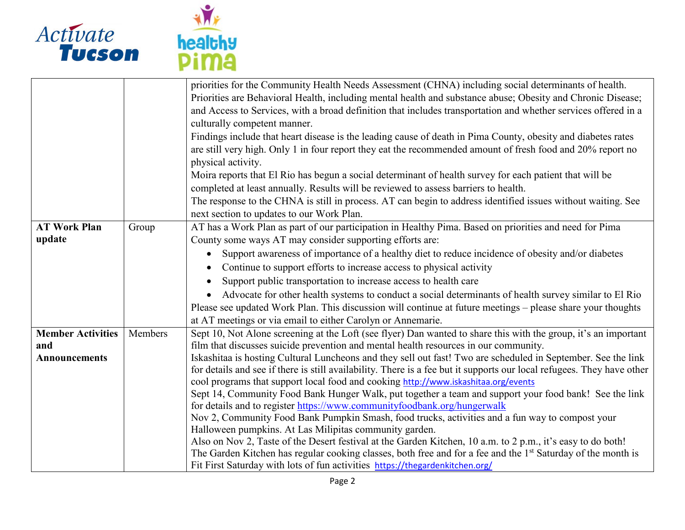



|                               |         | priorities for the Community Health Needs Assessment (CHNA) including social determinants of health.<br>Priorities are Behavioral Health, including mental health and substance abuse; Obesity and Chronic Disease;<br>and Access to Services, with a broad definition that includes transportation and whether services offered in a<br>culturally competent manner.<br>Findings include that heart disease is the leading cause of death in Pima County, obesity and diabetes rates<br>are still very high. Only 1 in four report they eat the recommended amount of fresh food and 20% report no |
|-------------------------------|---------|-----------------------------------------------------------------------------------------------------------------------------------------------------------------------------------------------------------------------------------------------------------------------------------------------------------------------------------------------------------------------------------------------------------------------------------------------------------------------------------------------------------------------------------------------------------------------------------------------------|
|                               |         | physical activity.<br>Moira reports that El Rio has begun a social determinant of health survey for each patient that will be                                                                                                                                                                                                                                                                                                                                                                                                                                                                       |
|                               |         | completed at least annually. Results will be reviewed to assess barriers to health.<br>The response to the CHNA is still in process. AT can begin to address identified issues without waiting. See                                                                                                                                                                                                                                                                                                                                                                                                 |
|                               |         | next section to updates to our Work Plan.                                                                                                                                                                                                                                                                                                                                                                                                                                                                                                                                                           |
| <b>AT Work Plan</b><br>update | Group   | AT has a Work Plan as part of our participation in Healthy Pima. Based on priorities and need for Pima<br>County some ways AT may consider supporting efforts are:                                                                                                                                                                                                                                                                                                                                                                                                                                  |
|                               |         | Support awareness of importance of a healthy diet to reduce incidence of obesity and/or diabetes<br>$\bullet$                                                                                                                                                                                                                                                                                                                                                                                                                                                                                       |
|                               |         | Continue to support efforts to increase access to physical activity<br>$\bullet$                                                                                                                                                                                                                                                                                                                                                                                                                                                                                                                    |
|                               |         | Support public transportation to increase access to health care<br>$\bullet$                                                                                                                                                                                                                                                                                                                                                                                                                                                                                                                        |
|                               |         | • Advocate for other health systems to conduct a social determinants of health survey similar to El Rio                                                                                                                                                                                                                                                                                                                                                                                                                                                                                             |
|                               |         | Please see updated Work Plan. This discussion will continue at future meetings - please share your thoughts                                                                                                                                                                                                                                                                                                                                                                                                                                                                                         |
| <b>Member Activities</b>      | Members | at AT meetings or via email to either Carolyn or Annemarie.<br>Sept 10, Not Alone screening at the Loft (see flyer) Dan wanted to share this with the group, it's an important                                                                                                                                                                                                                                                                                                                                                                                                                      |
| and                           |         | film that discusses suicide prevention and mental health resources in our community.                                                                                                                                                                                                                                                                                                                                                                                                                                                                                                                |
| <b>Announcements</b>          |         | Iskashitaa is hosting Cultural Luncheons and they sell out fast! Two are scheduled in September. See the link                                                                                                                                                                                                                                                                                                                                                                                                                                                                                       |
|                               |         | for details and see if there is still availability. There is a fee but it supports our local refugees. They have other                                                                                                                                                                                                                                                                                                                                                                                                                                                                              |
|                               |         | cool programs that support local food and cooking http://www.iskashitaa.org/events<br>Sept 14, Community Food Bank Hunger Walk, put together a team and support your food bank! See the link                                                                                                                                                                                                                                                                                                                                                                                                        |
|                               |         | for details and to register https://www.communityfoodbank.org/hungerwalk                                                                                                                                                                                                                                                                                                                                                                                                                                                                                                                            |
|                               |         | Nov 2, Community Food Bank Pumpkin Smash, food trucks, activities and a fun way to compost your                                                                                                                                                                                                                                                                                                                                                                                                                                                                                                     |
|                               |         | Halloween pumpkins. At Las Milipitas community garden.                                                                                                                                                                                                                                                                                                                                                                                                                                                                                                                                              |
|                               |         | Also on Nov 2, Taste of the Desert festival at the Garden Kitchen, 10 a.m. to 2 p.m., it's easy to do both!                                                                                                                                                                                                                                                                                                                                                                                                                                                                                         |
|                               |         | The Garden Kitchen has regular cooking classes, both free and for a fee and the 1st Saturday of the month is                                                                                                                                                                                                                                                                                                                                                                                                                                                                                        |
|                               |         | Fit First Saturday with lots of fun activities https://thegardenkitchen.org/                                                                                                                                                                                                                                                                                                                                                                                                                                                                                                                        |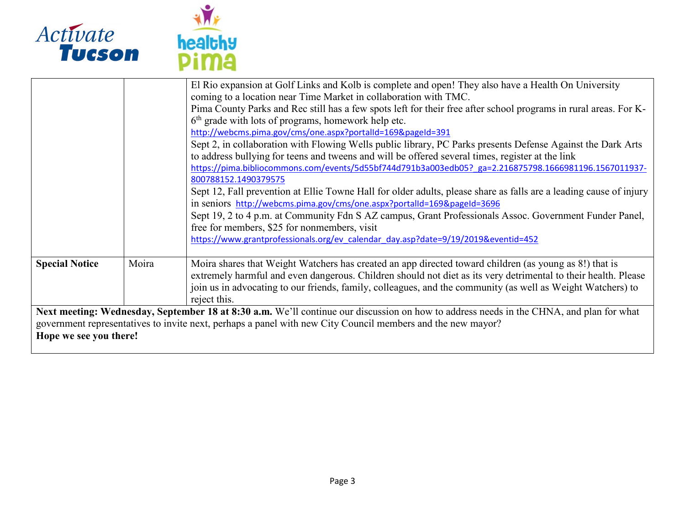

|                                                                                                                                                                                                                                                                                  |       | El Rio expansion at Golf Links and Kolb is complete and open! They also have a Health On University<br>coming to a location near Time Market in collaboration with TMC.<br>Pima County Parks and Rec still has a few spots left for their free after school programs in rural areas. For K-<br>6 <sup>th</sup> grade with lots of programs, homework help etc.<br>http://webcms.pima.gov/cms/one.aspx?portalId=169&pageId=391<br>Sept 2, in collaboration with Flowing Wells public library, PC Parks presents Defense Against the Dark Arts<br>to address bullying for teens and tweens and will be offered several times, register at the link |
|----------------------------------------------------------------------------------------------------------------------------------------------------------------------------------------------------------------------------------------------------------------------------------|-------|--------------------------------------------------------------------------------------------------------------------------------------------------------------------------------------------------------------------------------------------------------------------------------------------------------------------------------------------------------------------------------------------------------------------------------------------------------------------------------------------------------------------------------------------------------------------------------------------------------------------------------------------------|
|                                                                                                                                                                                                                                                                                  |       | https://pima.bibliocommons.com/events/5d55bf744d791b3a003edb05? ga=2.216875798.1666981196.1567011937-<br>800788152.1490379575<br>Sept 12, Fall prevention at Ellie Towne Hall for older adults, please share as falls are a leading cause of injury<br>in seniors http://webcms.pima.gov/cms/one.aspx?portalId=169&pageId=3696<br>Sept 19, 2 to 4 p.m. at Community Fdn S AZ campus, Grant Professionals Assoc. Government Funder Panel,<br>free for members, \$25 for nonmembers, visit<br>https://www.grantprofessionals.org/ev_calendar_day.asp?date=9/19/2019&eventid=452                                                                    |
| <b>Special Notice</b>                                                                                                                                                                                                                                                            | Moira | Moira shares that Weight Watchers has created an app directed toward children (as young as 8!) that is<br>extremely harmful and even dangerous. Children should not diet as its very detrimental to their health. Please<br>join us in advocating to our friends, family, colleagues, and the community (as well as Weight Watchers) to<br>reject this.                                                                                                                                                                                                                                                                                          |
| Next meeting: Wednesday, September 18 at 8:30 a.m. We'll continue our discussion on how to address needs in the CHNA, and plan for what<br>government representatives to invite next, perhaps a panel with new City Council members and the new mayor?<br>Hope we see you there! |       |                                                                                                                                                                                                                                                                                                                                                                                                                                                                                                                                                                                                                                                  |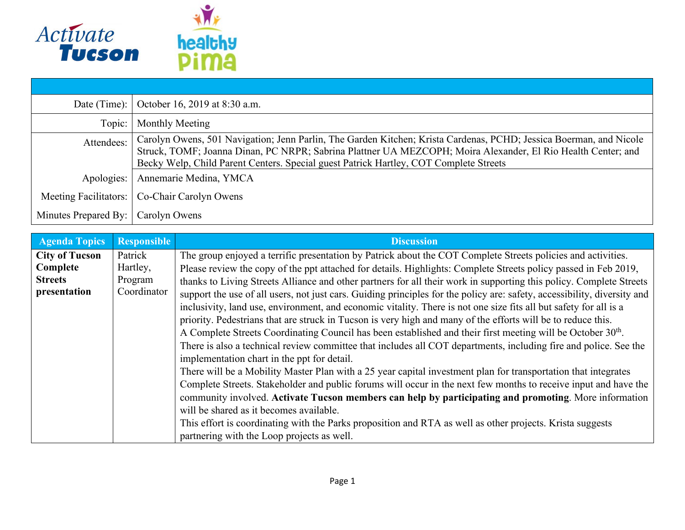

| Date (Time):          | October 16, 2019 at 8:30 a.m.                                                                                                                                                                                                                                                                                               |
|-----------------------|-----------------------------------------------------------------------------------------------------------------------------------------------------------------------------------------------------------------------------------------------------------------------------------------------------------------------------|
| Topic:                | Monthly Meeting                                                                                                                                                                                                                                                                                                             |
| Attendees:            | Carolyn Owens, 501 Navigation; Jenn Parlin, The Garden Kitchen; Krista Cardenas, PCHD; Jessica Boerman, and Nicole<br>Struck, TOMF; Joanna Dinan, PC NRPR; Sabrina Plattner UA MEZCOPH; Moira Alexander, El Rio Health Center; and<br>Becky Welp, Child Parent Centers. Special guest Patrick Hartley, COT Complete Streets |
| Apologies:            | Annemarie Medina, YMCA                                                                                                                                                                                                                                                                                                      |
| Meeting Facilitators: | Co-Chair Carolyn Owens                                                                                                                                                                                                                                                                                                      |
| Minutes Prepared By:  | Carolyn Owens                                                                                                                                                                                                                                                                                                               |

| <b>Agenda Topics</b>  | <b>Responsible</b> | <b>Discussion</b>                                                                                                        |
|-----------------------|--------------------|--------------------------------------------------------------------------------------------------------------------------|
| <b>City of Tucson</b> | Patrick            | The group enjoyed a terrific presentation by Patrick about the COT Complete Streets policies and activities.             |
| Complete              | Hartley,           | Please review the copy of the ppt attached for details. Highlights: Complete Streets policy passed in Feb 2019,          |
| <b>Streets</b>        | Program            | thanks to Living Streets Alliance and other partners for all their work in supporting this policy. Complete Streets      |
| presentation          | Coordinator        | support the use of all users, not just cars. Guiding principles for the policy are: safety, accessibility, diversity and |
|                       |                    | inclusivity, land use, environment, and economic vitality. There is not one size fits all but safety for all is a        |
|                       |                    | priority. Pedestrians that are struck in Tucson is very high and many of the efforts will be to reduce this.             |
|                       |                    | A Complete Streets Coordinating Council has been established and their first meeting will be October 30 <sup>th</sup> .  |
|                       |                    | There is also a technical review committee that includes all COT departments, including fire and police. See the         |
|                       |                    | implementation chart in the ppt for detail.                                                                              |
|                       |                    | There will be a Mobility Master Plan with a 25 year capital investment plan for transportation that integrates           |
|                       |                    | Complete Streets. Stakeholder and public forums will occur in the next few months to receive input and have the          |
|                       |                    | community involved. Activate Tucson members can help by participating and promoting. More information                    |
|                       |                    | will be shared as it becomes available.                                                                                  |
|                       |                    | This effort is coordinating with the Parks proposition and RTA as well as other projects. Krista suggests                |
|                       |                    | partnering with the Loop projects as well.                                                                               |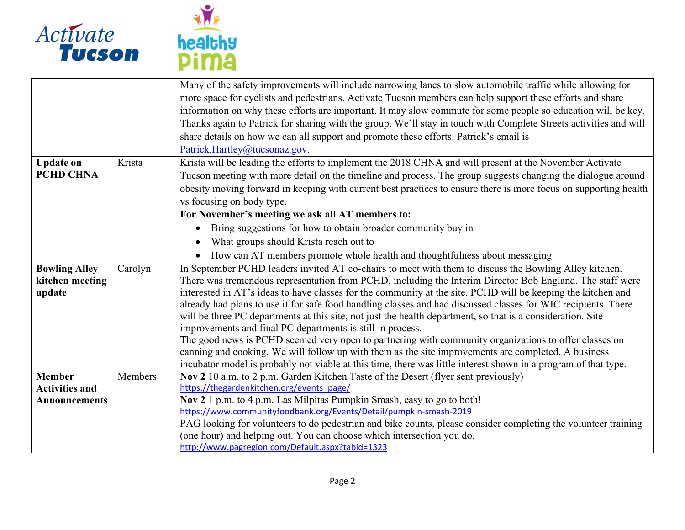



|                                                                |         | Many of the safety improvements will include narrowing lanes to slow automobile traffic while allowing for<br>more space for cyclists and pedestrians. Activate Tucson members can help support these efforts and share<br>information on why these efforts are important. It may slow commute for some people so education will be key.<br>Thanks again to Patrick for sharing with the group. We'll stay in touch with Complete Streets activities and will<br>share details on how we can all support and promote these efforts. Patrick's email is<br>Patrick.Hartley@tucsonaz.gov.                                                                                                                                                                                                                                                                                                                                                                               |
|----------------------------------------------------------------|---------|-----------------------------------------------------------------------------------------------------------------------------------------------------------------------------------------------------------------------------------------------------------------------------------------------------------------------------------------------------------------------------------------------------------------------------------------------------------------------------------------------------------------------------------------------------------------------------------------------------------------------------------------------------------------------------------------------------------------------------------------------------------------------------------------------------------------------------------------------------------------------------------------------------------------------------------------------------------------------|
| <b>Update on</b><br><b>PCHD CHNA</b>                           | Krista  | Krista will be leading the efforts to implement the 2018 CHNA and will present at the November Activate<br>Tucson meeting with more detail on the timeline and process. The group suggests changing the dialogue around<br>obesity moving forward in keeping with current best practices to ensure there is more focus on supporting health<br>vs focusing on body type.<br>For November's meeting we ask all AT members to:<br>Bring suggestions for how to obtain broader community buy in<br>What groups should Krista reach out to<br>How can AT members promote whole health and thoughtfulness about messaging                                                                                                                                                                                                                                                                                                                                                  |
| <b>Bowling Alley</b><br>kitchen meeting<br>update              | Carolyn | In September PCHD leaders invited AT co-chairs to meet with them to discuss the Bowling Alley kitchen.<br>There was tremendous representation from PCHD, including the Interim Director Bob England. The staff were<br>interested in AT's ideas to have classes for the community at the site. PCHD will be keeping the kitchen and<br>already had plans to use it for safe food handling classes and had discussed classes for WIC recipients. There<br>will be three PC departments at this site, not just the health department, so that is a consideration. Site<br>improvements and final PC departments is still in process.<br>The good news is PCHD seemed very open to partnering with community organizations to offer classes on<br>canning and cooking. We will follow up with them as the site improvements are completed. A business<br>incubator model is probably not viable at this time, there was little interest shown in a program of that type. |
| <b>Member</b><br><b>Activities and</b><br><b>Announcements</b> | Members | Nov 2 10 a.m. to 2 p.m. Garden Kitchen Taste of the Desert (flyer sent previously)<br>https://thegardenkitchen.org/events page/<br>Nov 2 1 p.m. to 4 p.m. Las Milpitas Pumpkin Smash, easy to go to both!<br>https://www.communityfoodbank.org/Events/Detail/pumpkin-smash-2019<br>PAG looking for volunteers to do pedestrian and bike counts, please consider completing the volunteer training<br>(one hour) and helping out. You can choose which intersection you do.<br>http://www.pagregion.com/Default.aspx?tabid=1323                                                                                                                                                                                                                                                                                                                                                                                                                                        |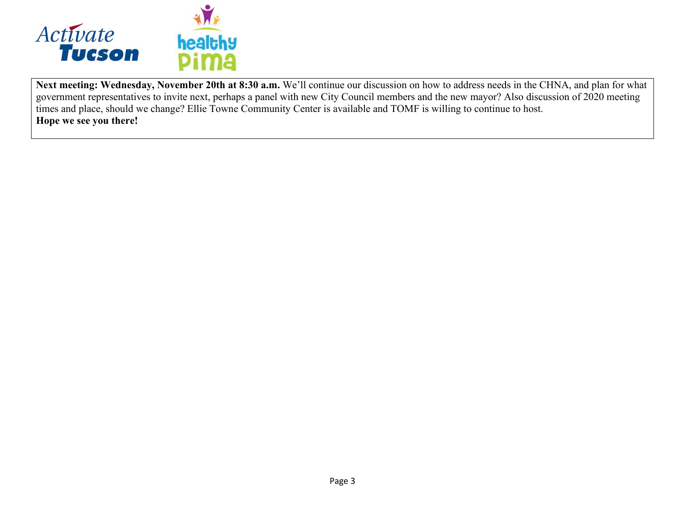

**Next meeting: Wednesday, November 20th at 8:30 a.m.** We'll continue our discussion on how to address needs in the CHNA, and plan for what government representatives to invite next, perhaps a panel with new City Council members and the new mayor? Also discussion of 2020 meeting times and place, should we change? Ellie Towne Community Center is available and TOMF is willing to continue to host. **Hope we see you there!**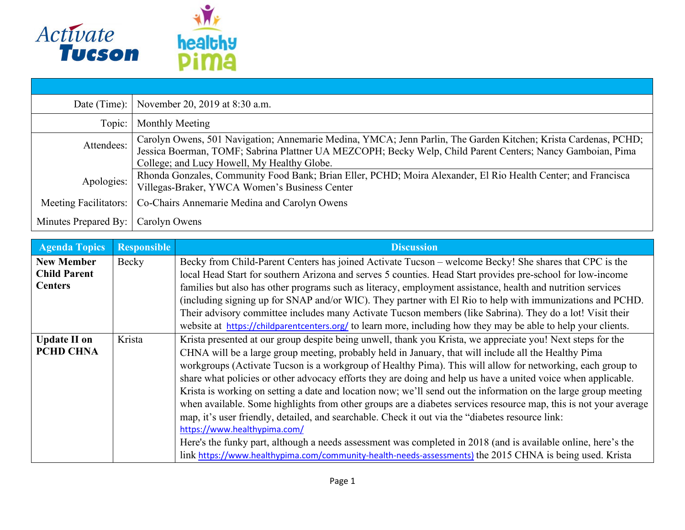

| Date (Time): $ $      | November 20, 2019 at 8:30 a.m.                                                                                                                                                                                                                                              |
|-----------------------|-----------------------------------------------------------------------------------------------------------------------------------------------------------------------------------------------------------------------------------------------------------------------------|
| Topic:                | Monthly Meeting                                                                                                                                                                                                                                                             |
| Attendees:            | Carolyn Owens, 501 Navigation; Annemarie Medina, YMCA; Jenn Parlin, The Garden Kitchen; Krista Cardenas, PCHD;<br>Jessica Boerman, TOMF; Sabrina Plattner UA MEZCOPH; Becky Welp, Child Parent Centers; Nancy Gamboian, Pima<br>College; and Lucy Howell, My Healthy Globe. |
| Apologies:            | Rhonda Gonzales, Community Food Bank; Brian Eller, PCHD; Moira Alexander, El Rio Health Center; and Francisca<br>Villegas-Braker, YWCA Women's Business Center                                                                                                              |
| Meeting Facilitators: | Co-Chairs Annemarie Medina and Carolyn Owens                                                                                                                                                                                                                                |
| Minutes Prepared By:  | Carolyn Owens                                                                                                                                                                                                                                                               |

| <b>Agenda Topics</b> | <b>Responsible</b> | <b>Discussion</b>                                                                                                |
|----------------------|--------------------|------------------------------------------------------------------------------------------------------------------|
| <b>New Member</b>    | Becky              | Becky from Child-Parent Centers has joined Activate Tucson – welcome Becky! She shares that CPC is the           |
| <b>Child Parent</b>  |                    | local Head Start for southern Arizona and serves 5 counties. Head Start provides pre-school for low-income       |
| <b>Centers</b>       |                    | families but also has other programs such as literacy, employment assistance, health and nutrition services      |
|                      |                    | (including signing up for SNAP and/or WIC). They partner with El Rio to help with immunizations and PCHD.        |
|                      |                    | Their advisory committee includes many Activate Tucson members (like Sabrina). They do a lot! Visit their        |
|                      |                    | website at https://childparentcenters.org/ to learn more, including how they may be able to help your clients.   |
| <b>Update II on</b>  | Krista             | Krista presented at our group despite being unwell, thank you Krista, we appreciate you! Next steps for the      |
| <b>PCHD CHNA</b>     |                    | CHNA will be a large group meeting, probably held in January, that will include all the Healthy Pima             |
|                      |                    | workgroups (Activate Tucson is a workgroup of Healthy Pima). This will allow for networking, each group to       |
|                      |                    | share what policies or other advocacy efforts they are doing and help us have a united voice when applicable.    |
|                      |                    | Krista is working on setting a date and location now; we'll send out the information on the large group meeting  |
|                      |                    | when available. Some highlights from other groups are a diabetes services resource map, this is not your average |
|                      |                    | map, it's user friendly, detailed, and searchable. Check it out via the "diabetes resource link:                 |
|                      |                    | https://www.healthypima.com/                                                                                     |
|                      |                    | Here's the funky part, although a needs assessment was completed in 2018 (and is available online, here's the    |
|                      |                    | link https://www.healthypima.com/community-health-needs-assessments) the 2015 CHNA is being used. Krista         |